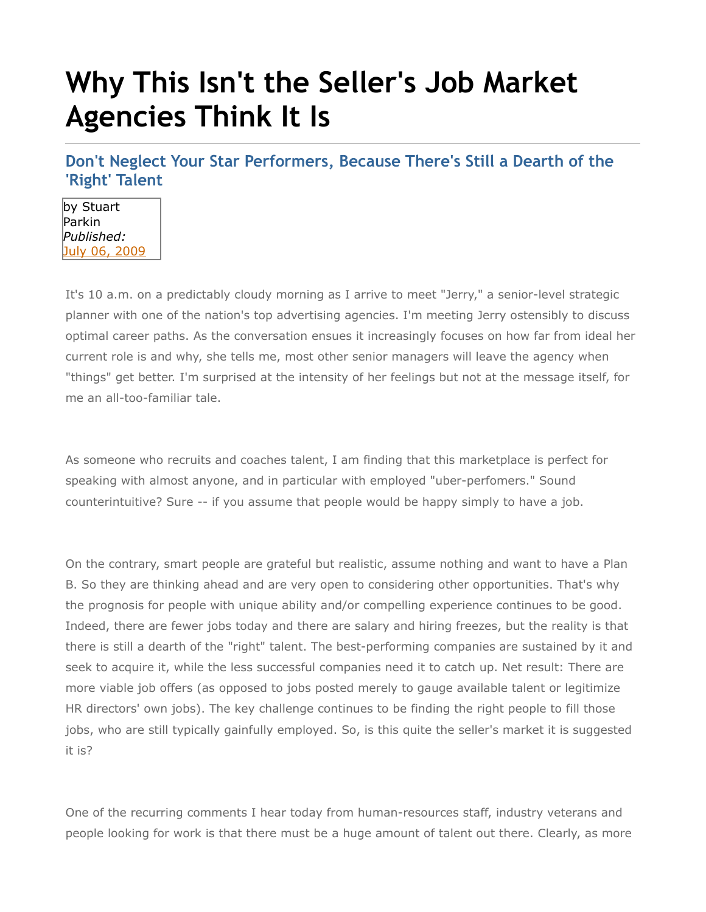# **Why This Isn't the Seller's Job Market Agencies Think It Is**

**Don't Neglect Your Star Performers, Because There's Still a Dearth of the 'Right' Talent**

by Stuart Parkin *Published:* [July 06, 2009](http://adage.com/results?endeca=1&return=endeca&search_offset=0&search_order_by=score&search_phrase=07/06/2009)

It's 10 a.m. on a predictably cloudy morning as I arrive to meet "Jerry," a senior-level strategic planner with one of the nation's top advertising agencies. I'm meeting Jerry ostensibly to discuss optimal career paths. As the conversation ensues it increasingly focuses on how far from ideal her current role is and why, she tells me, most other senior managers will leave the agency when "things" get better. I'm surprised at the intensity of her feelings but not at the message itself, for me an all-too-familiar tale.

As someone who recruits and coaches talent, I am finding that this marketplace is perfect for speaking with almost anyone, and in particular with employed "uber-perfomers." Sound counterintuitive? Sure -- if you assume that people would be happy simply to have a job.

On the contrary, smart people are grateful but realistic, assume nothing and want to have a Plan B. So they are thinking ahead and are very open to considering other opportunities. That's why the prognosis for people with unique ability and/or compelling experience continues to be good. Indeed, there are fewer jobs today and there are salary and hiring freezes, but the reality is that there is still a dearth of the "right" talent. The best-performing companies are sustained by it and seek to acquire it, while the less successful companies need it to catch up. Net result: There are more viable job offers (as opposed to jobs posted merely to gauge available talent or legitimize HR directors' own jobs). The key challenge continues to be finding the right people to fill those jobs, who are still typically gainfully employed. So, is this quite the seller's market it is suggested it is?

One of the recurring comments I hear today from human-resources staff, industry veterans and people looking for work is that there must be a huge amount of talent out there. Clearly, as more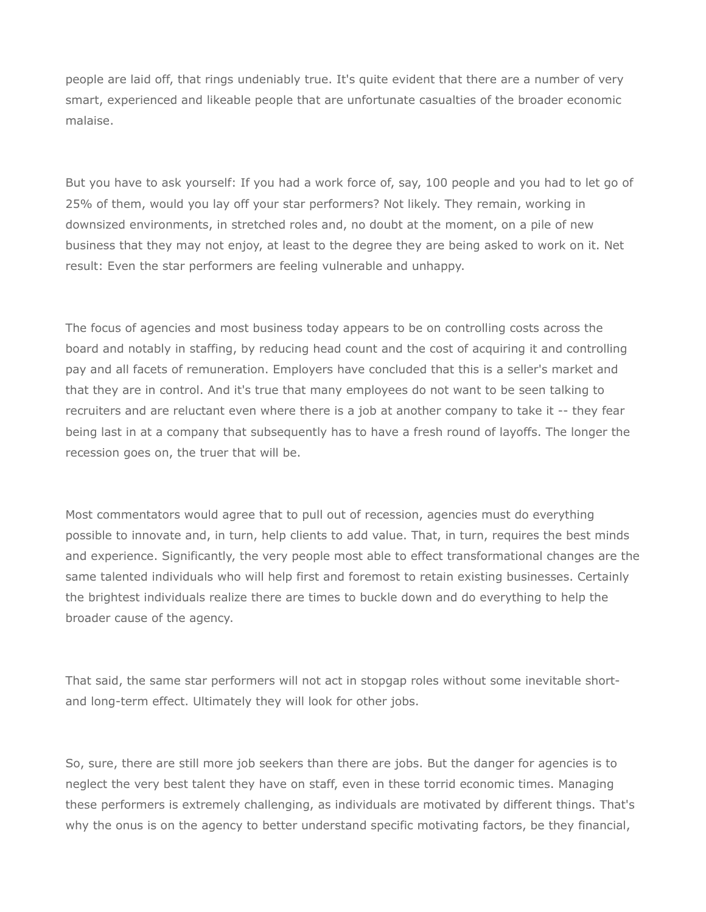people are laid off, that rings undeniably true. It's quite evident that there are a number of very smart, experienced and likeable people that are unfortunate casualties of the broader economic malaise.

But you have to ask yourself: If you had a work force of, say, 100 people and you had to let go of 25% of them, would you lay off your star performers? Not likely. They remain, working in downsized environments, in stretched roles and, no doubt at the moment, on a pile of new business that they may not enjoy, at least to the degree they are being asked to work on it. Net result: Even the star performers are feeling vulnerable and unhappy.

The focus of agencies and most business today appears to be on controlling costs across the board and notably in staffing, by reducing head count and the cost of acquiring it and controlling pay and all facets of remuneration. Employers have concluded that this is a seller's market and that they are in control. And it's true that many employees do not want to be seen talking to recruiters and are reluctant even where there is a job at another company to take it -- they fear being last in at a company that subsequently has to have a fresh round of layoffs. The longer the recession goes on, the truer that will be.

Most commentators would agree that to pull out of recession, agencies must do everything possible to innovate and, in turn, help clients to add value. That, in turn, requires the best minds and experience. Significantly, the very people most able to effect transformational changes are the same talented individuals who will help first and foremost to retain existing businesses. Certainly the brightest individuals realize there are times to buckle down and do everything to help the broader cause of the agency.

That said, the same star performers will not act in stopgap roles without some inevitable shortand long-term effect. Ultimately they will look for other jobs.

So, sure, there are still more job seekers than there are jobs. But the danger for agencies is to neglect the very best talent they have on staff, even in these torrid economic times. Managing these performers is extremely challenging, as individuals are motivated by different things. That's why the onus is on the agency to better understand specific motivating factors, be they financial,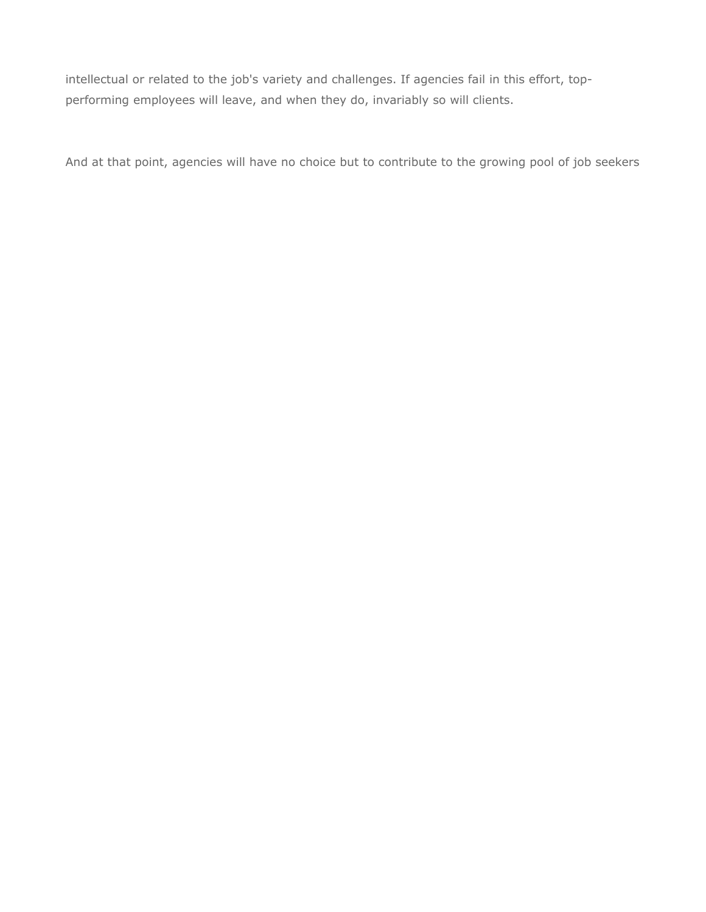intellectual or related to the job's variety and challenges. If agencies fail in this effort, topperforming employees will leave, and when they do, invariably so will clients.

And at that point, agencies will have no choice but to contribute to the growing pool of job seekers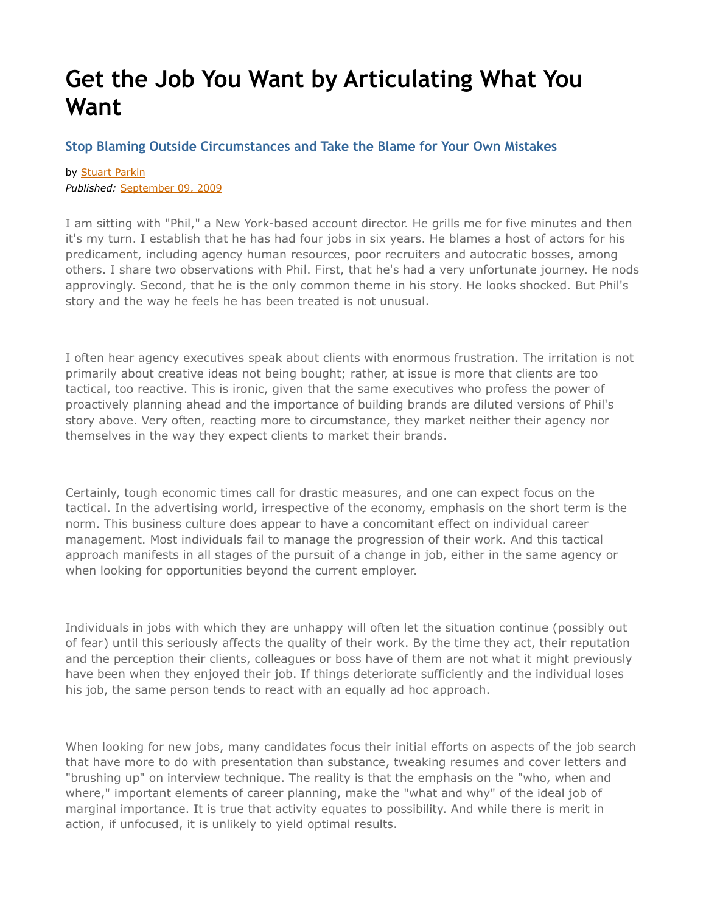## **Get the Job You Want by Articulating What You Want**

#### **Stop Blaming Outside Circumstances and Take the Blame for Your Own Mistakes**

by [Stuart Parkin](mailto:sparkin28@gmail.com) *Published:* [September 09, 2009](http://adage.com/results?endeca=1&return=endeca&search_offset=0&search_order_by=score&search_phrase=09/09/2009)

I am sitting with "Phil," a New York-based account director. He grills me for five minutes and then it's my turn. I establish that he has had four jobs in six years. He blames a host of actors for his predicament, including agency human resources, poor recruiters and autocratic bosses, among others. I share two observations with Phil. First, that he's had a very unfortunate journey. He nods approvingly. Second, that he is the only common theme in his story. He looks shocked. But Phil's story and the way he feels he has been treated is not unusual.

I often hear agency executives speak about clients with enormous frustration. The irritation is not primarily about creative ideas not being bought; rather, at issue is more that clients are too tactical, too reactive. This is ironic, given that the same executives who profess the power of proactively planning ahead and the importance of building brands are diluted versions of Phil's story above. Very often, reacting more to circumstance, they market neither their agency nor themselves in the way they expect clients to market their brands.

Certainly, tough economic times call for drastic measures, and one can expect focus on the tactical. In the advertising world, irrespective of the economy, emphasis on the short term is the norm. This business culture does appear to have a concomitant effect on individual career management. Most individuals fail to manage the progression of their work. And this tactical approach manifests in all stages of the pursuit of a change in job, either in the same agency or when looking for opportunities beyond the current employer.

Individuals in jobs with which they are unhappy will often let the situation continue (possibly out of fear) until this seriously affects the quality of their work. By the time they act, their reputation and the perception their clients, colleagues or boss have of them are not what it might previously have been when they enjoyed their job. If things deteriorate sufficiently and the individual loses his job, the same person tends to react with an equally ad hoc approach.

When looking for new jobs, many candidates focus their initial efforts on aspects of the job search that have more to do with presentation than substance, tweaking resumes and cover letters and "brushing up" on interview technique. The reality is that the emphasis on the "who, when and where," important elements of career planning, make the "what and why" of the ideal job of marginal importance. It is true that activity equates to possibility. And while there is merit in action, if unfocused, it is unlikely to yield optimal results.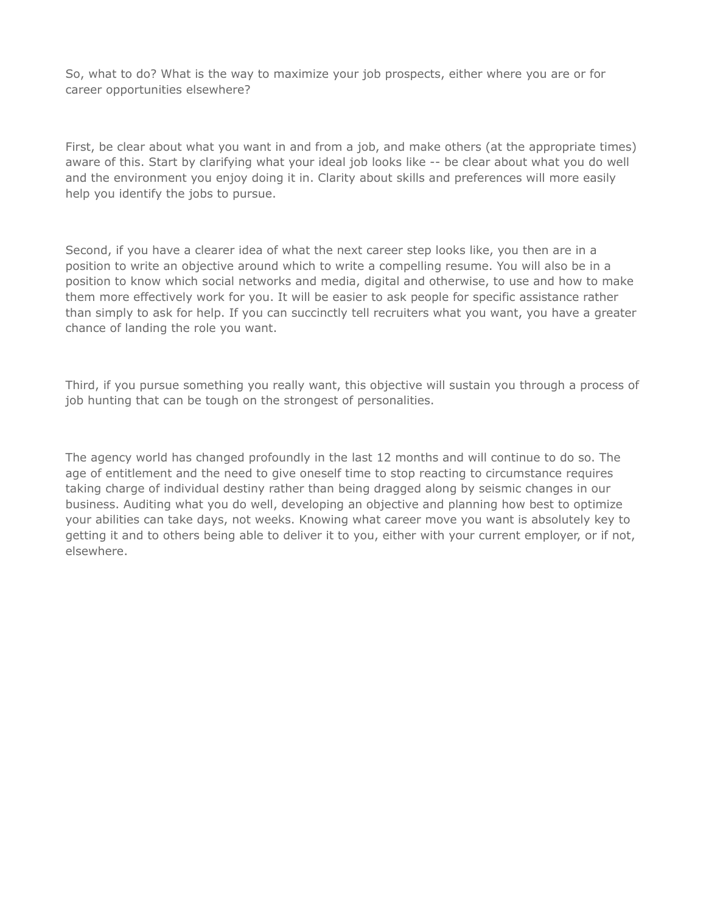So, what to do? What is the way to maximize your job prospects, either where you are or for career opportunities elsewhere?

First, be clear about what you want in and from a job, and make others (at the appropriate times) aware of this. Start by clarifying what your ideal job looks like -- be clear about what you do well and the environment you enjoy doing it in. Clarity about skills and preferences will more easily help you identify the jobs to pursue.

Second, if you have a clearer idea of what the next career step looks like, you then are in a position to write an objective around which to write a compelling resume. You will also be in a position to know which social networks and media, digital and otherwise, to use and how to make them more effectively work for you. It will be easier to ask people for specific assistance rather than simply to ask for help. If you can succinctly tell recruiters what you want, you have a greater chance of landing the role you want.

Third, if you pursue something you really want, this objective will sustain you through a process of job hunting that can be tough on the strongest of personalities.

The agency world has changed profoundly in the last 12 months and will continue to do so. The age of entitlement and the need to give oneself time to stop reacting to circumstance requires taking charge of individual destiny rather than being dragged along by seismic changes in our business. Auditing what you do well, developing an objective and planning how best to optimize your abilities can take days, not weeks. Knowing what career move you want is absolutely key to getting it and to others being able to deliver it to you, either with your current employer, or if not, elsewhere.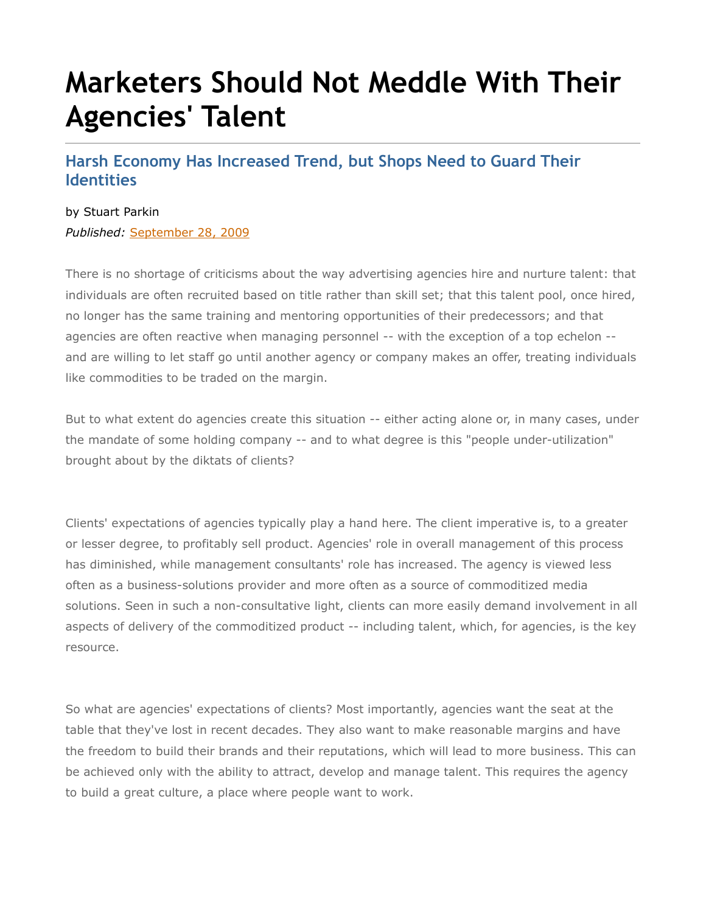# **Marketers Should Not Meddle With Their Agencies' Talent**

### **Harsh Economy Has Increased Trend, but Shops Need to Guard Their Identities**

#### by Stuart Parkin

*Published:* [September 28, 2009](http://adage.com/results?endeca=1&return=endeca&search_offset=0&search_order_by=score&search_phrase=09/28/2009)

There is no shortage of criticisms about the way advertising agencies hire and nurture talent: that individuals are often recruited based on title rather than skill set; that this talent pool, once hired, no longer has the same training and mentoring opportunities of their predecessors; and that agencies are often reactive when managing personnel -- with the exception of a top echelon -and are willing to let staff go until another agency or company makes an offer, treating individuals like commodities to be traded on the margin.

But to what extent do agencies create this situation -- either acting alone or, in many cases, under the mandate of some holding company -- and to what degree is this "people under-utilization" brought about by the diktats of clients?

Clients' expectations of agencies typically play a hand here. The client imperative is, to a greater or lesser degree, to profitably sell product. Agencies' role in overall management of this process has diminished, while management consultants' role has increased. The agency is viewed less often as a business-solutions provider and more often as a source of commoditized media solutions. Seen in such a non-consultative light, clients can more easily demand involvement in all aspects of delivery of the commoditized product -- including talent, which, for agencies, is the key resource.

So what are agencies' expectations of clients? Most importantly, agencies want the seat at the table that they've lost in recent decades. They also want to make reasonable margins and have the freedom to build their brands and their reputations, which will lead to more business. This can be achieved only with the ability to attract, develop and manage talent. This requires the agency to build a great culture, a place where people want to work.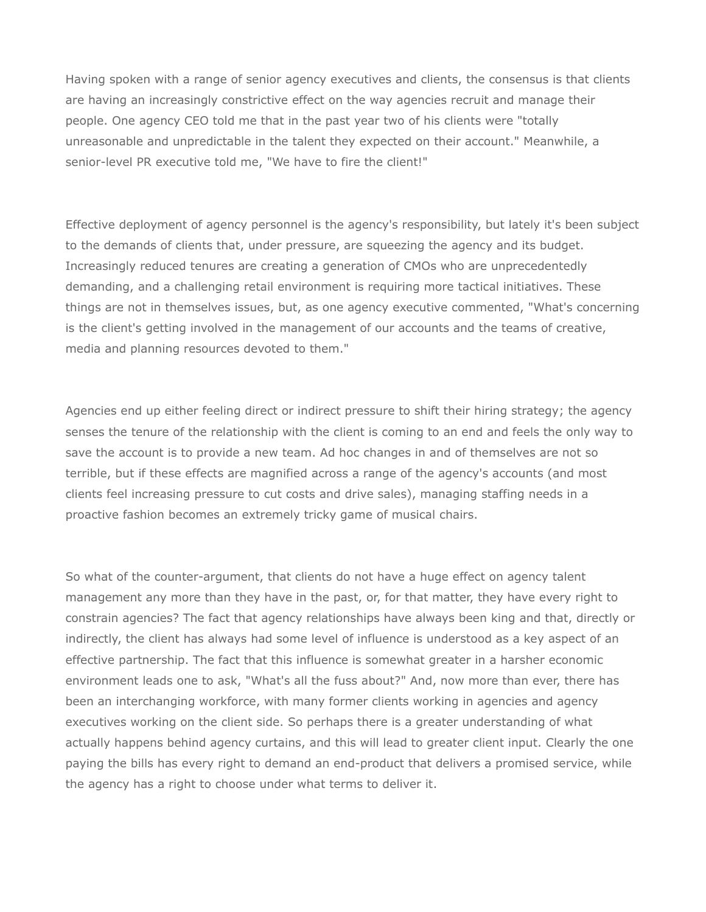Having spoken with a range of senior agency executives and clients, the consensus is that clients are having an increasingly constrictive effect on the way agencies recruit and manage their people. One agency CEO told me that in the past year two of his clients were "totally unreasonable and unpredictable in the talent they expected on their account." Meanwhile, a senior-level PR executive told me, "We have to fire the client!"

Effective deployment of agency personnel is the agency's responsibility, but lately it's been subject to the demands of clients that, under pressure, are squeezing the agency and its budget. Increasingly reduced tenures are creating a generation of CMOs who are unprecedentedly demanding, and a challenging retail environment is requiring more tactical initiatives. These things are not in themselves issues, but, as one agency executive commented, "What's concerning is the client's getting involved in the management of our accounts and the teams of creative, media and planning resources devoted to them."

Agencies end up either feeling direct or indirect pressure to shift their hiring strategy; the agency senses the tenure of the relationship with the client is coming to an end and feels the only way to save the account is to provide a new team. Ad hoc changes in and of themselves are not so terrible, but if these effects are magnified across a range of the agency's accounts (and most clients feel increasing pressure to cut costs and drive sales), managing staffing needs in a proactive fashion becomes an extremely tricky game of musical chairs.

So what of the counter-argument, that clients do not have a huge effect on agency talent management any more than they have in the past, or, for that matter, they have every right to constrain agencies? The fact that agency relationships have always been king and that, directly or indirectly, the client has always had some level of influence is understood as a key aspect of an effective partnership. The fact that this influence is somewhat greater in a harsher economic environment leads one to ask, "What's all the fuss about?" And, now more than ever, there has been an interchanging workforce, with many former clients working in agencies and agency executives working on the client side. So perhaps there is a greater understanding of what actually happens behind agency curtains, and this will lead to greater client input. Clearly the one paying the bills has every right to demand an end-product that delivers a promised service, while the agency has a right to choose under what terms to deliver it.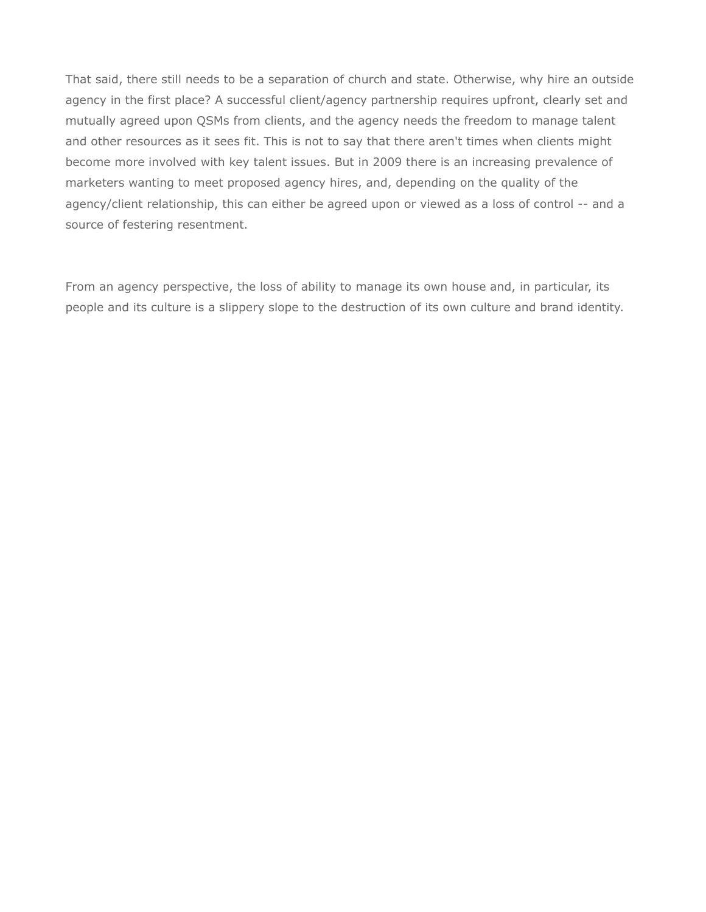That said, there still needs to be a separation of church and state. Otherwise, why hire an outside agency in the first place? A successful client/agency partnership requires upfront, clearly set and mutually agreed upon QSMs from clients, and the agency needs the freedom to manage talent and other resources as it sees fit. This is not to say that there aren't times when clients might become more involved with key talent issues. But in 2009 there is an increasing prevalence of marketers wanting to meet proposed agency hires, and, depending on the quality of the agency/client relationship, this can either be agreed upon or viewed as a loss of control -- and a source of festering resentment.

From an agency perspective, the loss of ability to manage its own house and, in particular, its people and its culture is a slippery slope to the destruction of its own culture and brand identity.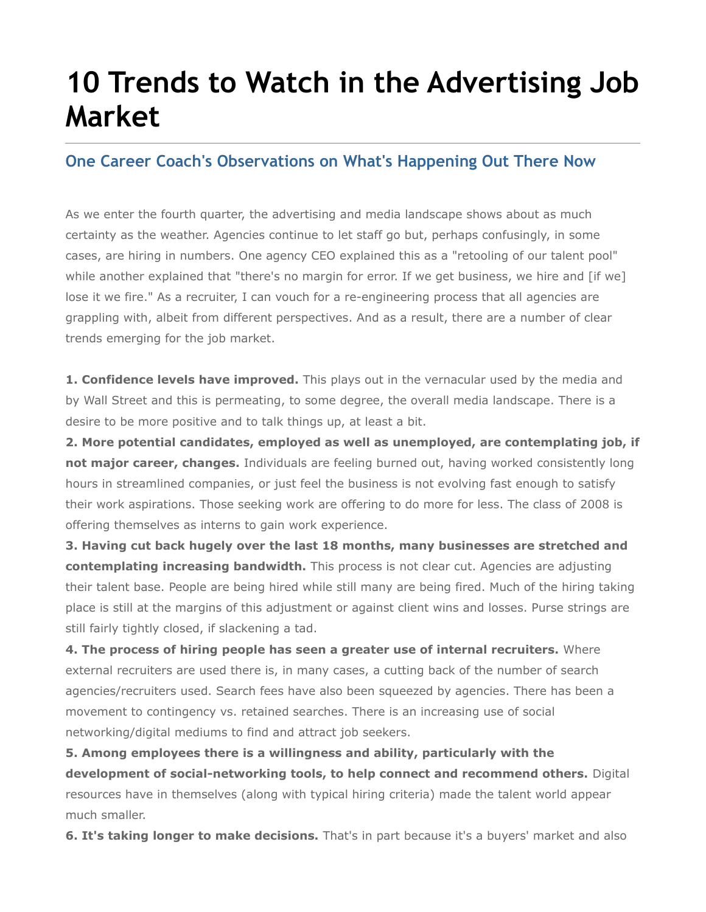# **10 Trends to Watch in the Advertising Job Market**

### **One Career Coach's Observations on What's Happening Out There Now**

As we enter the fourth quarter, the advertising and media landscape shows about as much certainty as the weather. Agencies continue to let staff go but, perhaps confusingly, in some cases, are hiring in numbers. One agency CEO explained this as a "retooling of our talent pool" while another explained that "there's no margin for error. If we get business, we hire and [if we] lose it we fire." As a recruiter, I can vouch for a re-engineering process that all agencies are grappling with, albeit from different perspectives. And as a result, there are a number of clear trends emerging for the job market.

**1. Confidence levels have improved.** This plays out in the vernacular used by the media and by Wall Street and this is permeating, to some degree, the overall media landscape. There is a desire to be more positive and to talk things up, at least a bit.

**2. More potential candidates, employed as well as unemployed, are contemplating job, if not major career, changes.** Individuals are feeling burned out, having worked consistently long hours in streamlined companies, or just feel the business is not evolving fast enough to satisfy their work aspirations. Those seeking work are offering to do more for less. The class of 2008 is offering themselves as interns to gain work experience.

**3. Having cut back hugely over the last 18 months, many businesses are stretched and contemplating increasing bandwidth.** This process is not clear cut. Agencies are adjusting their talent base. People are being hired while still many are being fired. Much of the hiring taking place is still at the margins of this adjustment or against client wins and losses. Purse strings are still fairly tightly closed, if slackening a tad.

**4. The process of hiring people has seen a greater use of internal recruiters.** Where external recruiters are used there is, in many cases, a cutting back of the number of search agencies/recruiters used. Search fees have also been squeezed by agencies. There has been a movement to contingency vs. retained searches. There is an increasing use of social networking/digital mediums to find and attract job seekers.

**5. Among employees there is a willingness and ability, particularly with the development of social-networking tools, to help connect and recommend others.** Digital resources have in themselves (along with typical hiring criteria) made the talent world appear much smaller.

**6. It's taking longer to make decisions.** That's in part because it's a buyers' market and also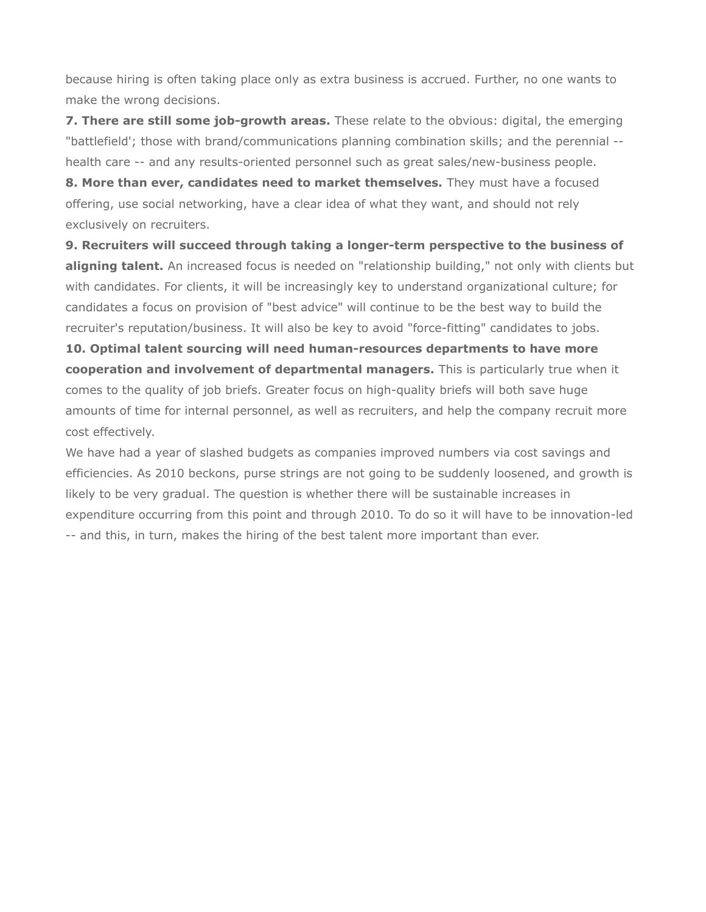because hiring is often taking place only as extra business is accrued. Further, no one wants to make the wrong decisions.

**7. There are still some job-growth areas.** These relate to the obvious: digital, the emerging "battlefield'; those with brand/communications planning combination skills; and the perennial - health care -- and any results-oriented personnel such as great sales/new-business people.

**8. More than ever, candidates need to market themselves.** They must have a focused offering, use social networking, have a clear idea of what they want, and should not rely exclusively on recruiters.

**9. Recruiters will succeed through taking a longer-term perspective to the business of** aligning talent. An increased focus is needed on "relationship building," not only with clients but with candidates. For clients, it will be increasingly key to understand organizational culture; for candidates a focus on provision of "best advice" will continue to be the best way to build the recruiter's reputation/business. It will also be key to avoid "force-fitting" candidates to jobs.

**10. Optimal talent sourcing will need human-resources departments to have more cooperation and involvement of departmental managers.** This is particularly true when it comes to the quality of job briefs. Greater focus on high-quality briefs will both save huge amounts of time for internal personnel, as well as recruiters, and help the company recruit more cost effectively.

We have had a year of slashed budgets as companies improved numbers via cost savings and efficiencies. As 2010 beckons, purse strings are not going to be suddenly loosened, and growth is likely to be very gradual. The question is whether there will be sustainable increases in expenditure occurring from this point and through 2010. To do so it will have to be innovation-led -- and this, in turn, makes the hiring of the best talent more important than ever.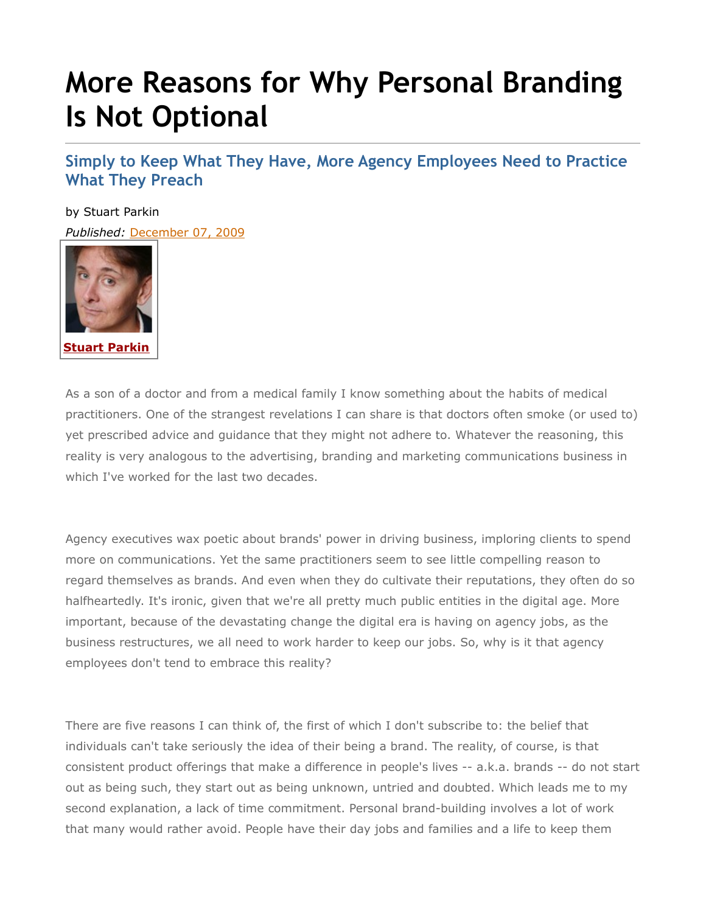# **More Reasons for Why Personal Branding Is Not Optional**

**Simply to Keep What They Have, More Agency Employees Need to Practice What They Preach**

by Stuart Parkin *Published:* [December 07, 2009](http://adage.com/results?endeca=1&return=endeca&search_offset=0&search_order_by=score&search_phrase=12/07/2009)



As a son of a doctor and from a medical family I know something about the habits of medical practitioners. One of the strangest revelations I can share is that doctors often smoke (or used to) yet prescribed advice and guidance that they might not adhere to. Whatever the reasoning, this reality is very analogous to the advertising, branding and marketing communications business in which I've worked for the last two decades.

Agency executives wax poetic about brands' power in driving business, imploring clients to spend more on communications. Yet the same practitioners seem to see little compelling reason to regard themselves as brands. And even when they do cultivate their reputations, they often do so halfheartedly. It's ironic, given that we're all pretty much public entities in the digital age. More important, because of the devastating change the digital era is having on agency jobs, as the business restructures, we all need to work harder to keep our jobs. So, why is it that agency employees don't tend to embrace this reality?

There are five reasons I can think of, the first of which I don't subscribe to: the belief that individuals can't take seriously the idea of their being a brand. The reality, of course, is that consistent product offerings that make a difference in people's lives -- a.k.a. brands -- do not start out as being such, they start out as being unknown, untried and doubted. Which leads me to my second explanation, a lack of time commitment. Personal brand-building involves a lot of work that many would rather avoid. People have their day jobs and families and a life to keep them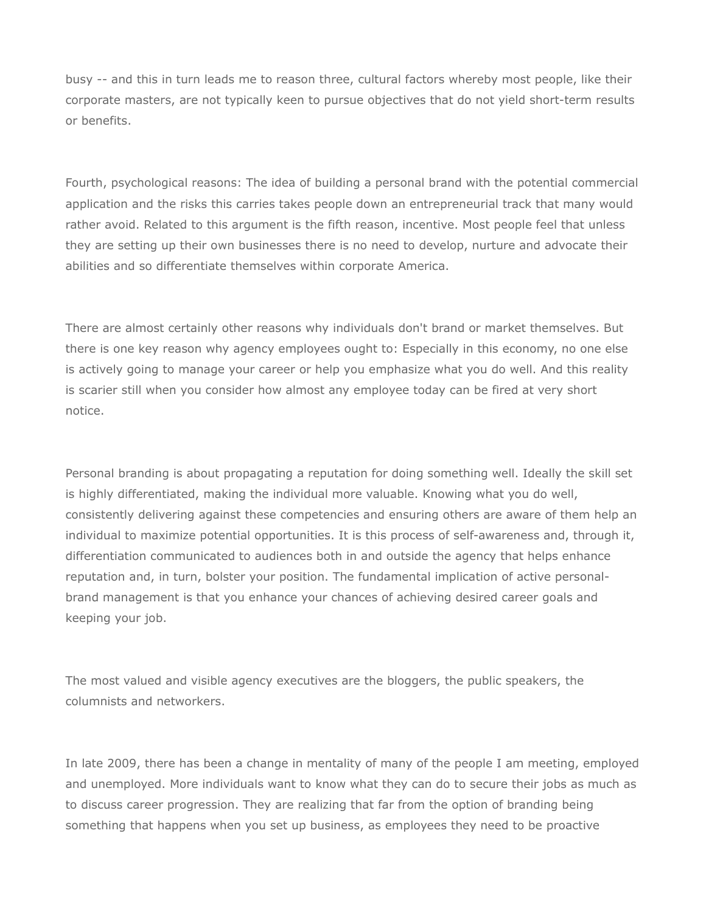busy -- and this in turn leads me to reason three, cultural factors whereby most people, like their corporate masters, are not typically keen to pursue objectives that do not yield short-term results or benefits.

Fourth, psychological reasons: The idea of building a personal brand with the potential commercial application and the risks this carries takes people down an entrepreneurial track that many would rather avoid. Related to this argument is the fifth reason, incentive. Most people feel that unless they are setting up their own businesses there is no need to develop, nurture and advocate their abilities and so differentiate themselves within corporate America.

There are almost certainly other reasons why individuals don't brand or market themselves. But there is one key reason why agency employees ought to: Especially in this economy, no one else is actively going to manage your career or help you emphasize what you do well. And this reality is scarier still when you consider how almost any employee today can be fired at very short notice.

Personal branding is about propagating a reputation for doing something well. Ideally the skill set is highly differentiated, making the individual more valuable. Knowing what you do well, consistently delivering against these competencies and ensuring others are aware of them help an individual to maximize potential opportunities. It is this process of self-awareness and, through it, differentiation communicated to audiences both in and outside the agency that helps enhance reputation and, in turn, bolster your position. The fundamental implication of active personalbrand management is that you enhance your chances of achieving desired career goals and keeping your job.

The most valued and visible agency executives are the bloggers, the public speakers, the columnists and networkers.

In late 2009, there has been a change in mentality of many of the people I am meeting, employed and unemployed. More individuals want to know what they can do to secure their jobs as much as to discuss career progression. They are realizing that far from the option of branding being something that happens when you set up business, as employees they need to be proactive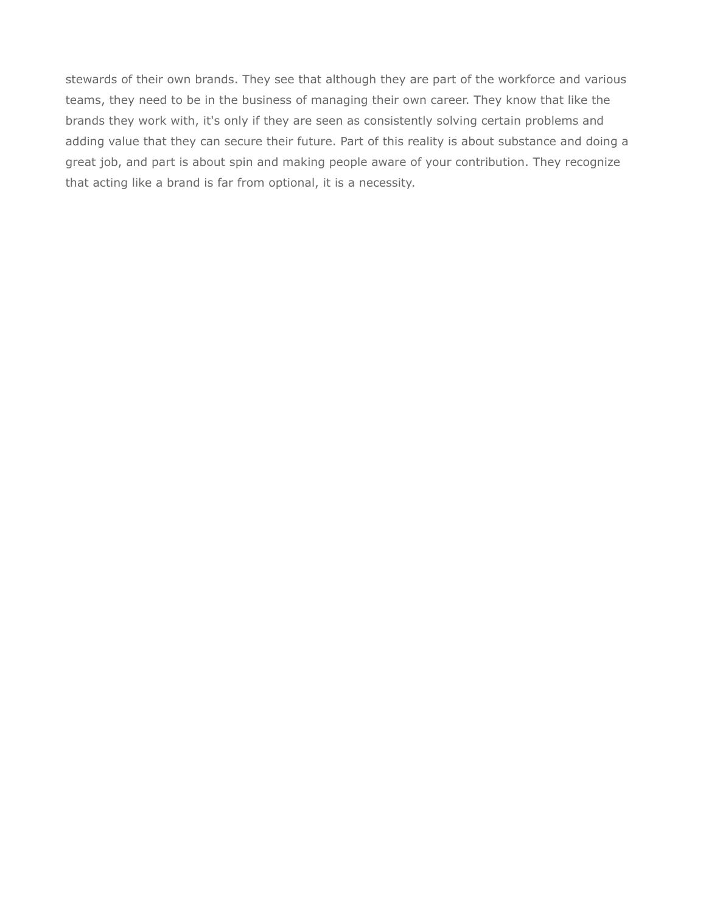stewards of their own brands. They see that although they are part of the workforce and various teams, they need to be in the business of managing their own career. They know that like the brands they work with, it's only if they are seen as consistently solving certain problems and adding value that they can secure their future. Part of this reality is about substance and doing a great job, and part is about spin and making people aware of your contribution. They recognize that acting like a brand is far from optional, it is a necessity.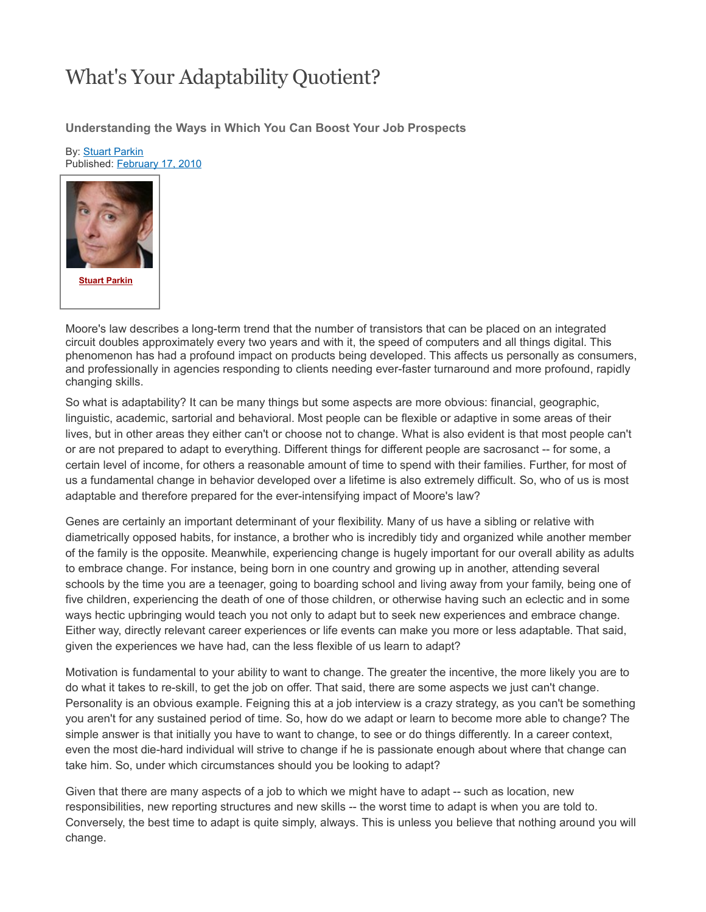### What's Your Adaptability Quotient?

**Understanding the Ways in Which You Can Boost Your Job Prospects**

**By: [Stuart Parkin](http://adage.com/author/stuart-parkin/2337)** Published: [February 17, 2010](http://adage.com/results?endeca=1&return=endeca&search_offset=0&search_order_by=score&search_phrase=02/17/2010)



Moore's law describes a long-term trend that the number of transistors that can be placed on an integrated circuit doubles approximately every two years and with it, the speed of computers and all things digital. This phenomenon has had a profound impact on products being developed. This affects us personally as consumers, and professionally in agencies responding to clients needing ever-faster turnaround and more profound, rapidly changing skills.

So what is adaptability? It can be many things but some aspects are more obvious: financial, geographic, linguistic, academic, sartorial and behavioral. Most people can be flexible or adaptive in some areas of their lives, but in other areas they either can't or choose not to change. What is also evident is that most people can't or are not prepared to adapt to everything. Different things for different people are sacrosanct -- for some, a certain level of income, for others a reasonable amount of time to spend with their families. Further, for most of us a fundamental change in behavior developed over a lifetime is also extremely difficult. So, who of us is most adaptable and therefore prepared for the ever-intensifying impact of Moore's law?

Genes are certainly an important determinant of your flexibility. Many of us have a sibling or relative with diametrically opposed habits, for instance, a brother who is incredibly tidy and organized while another member of the family is the opposite. Meanwhile, experiencing change is hugely important for our overall ability as adults to embrace change. For instance, being born in one country and growing up in another, attending several schools by the time you are a teenager, going to boarding school and living away from your family, being one of five children, experiencing the death of one of those children, or otherwise having such an eclectic and in some ways hectic upbringing would teach you not only to adapt but to seek new experiences and embrace change. Either way, directly relevant career experiences or life events can make you more or less adaptable. That said, given the experiences we have had, can the less flexible of us learn to adapt?

Motivation is fundamental to your ability to want to change. The greater the incentive, the more likely you are to do what it takes to re-skill, to get the job on offer. That said, there are some aspects we just can't change. Personality is an obvious example. Feigning this at a job interview is a crazy strategy, as you can't be something you aren't for any sustained period of time. So, how do we adapt or learn to become more able to change? The simple answer is that initially you have to want to change, to see or do things differently. In a career context, even the most die-hard individual will strive to change if he is passionate enough about where that change can take him. So, under which circumstances should you be looking to adapt?

Given that there are many aspects of a job to which we might have to adapt -- such as location, new responsibilities, new reporting structures and new skills -- the worst time to adapt is when you are told to. Conversely, the best time to adapt is quite simply, always. This is unless you believe that nothing around you will change.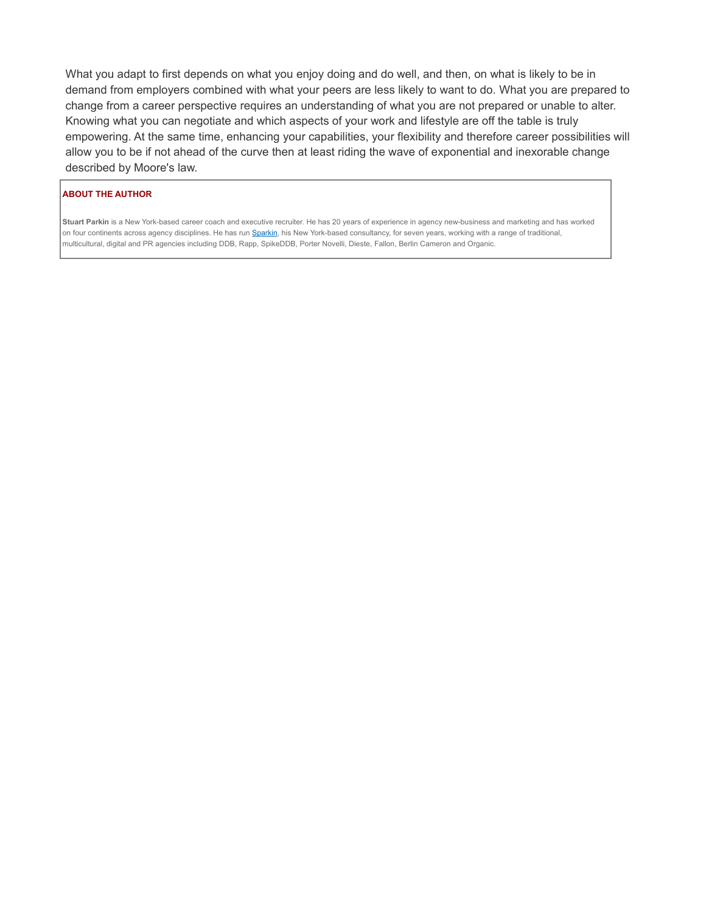What you adapt to first depends on what you enjoy doing and do well, and then, on what is likely to be in demand from employers combined with what your peers are less likely to want to do. What you are prepared to change from a career perspective requires an understanding of what you are not prepared or unable to alter. Knowing what you can negotiate and which aspects of your work and lifestyle are off the table is truly empowering. At the same time, enhancing your capabilities, your flexibility and therefore career possibilities will allow you to be if not ahead of the curve then at least riding the wave of exponential and inexorable change described by Moore's law.

#### **ABOUT THE AUTHOR**

**Stuart Parkin** is a New York-based career coach and executive recruiter. He has 20 years of experience in agency new-business and marketing and has worked on four continents across agency disciplines. He has run [Sparkin,](http://www.careercoachingandconnection.com/) his New York-based consultancy, for seven years, working with a range of traditional, multicultural, digital and PR agencies including DDB, Rapp, SpikeDDB, Porter Novelli, Dieste, Fallon, Berlin Cameron and Organic.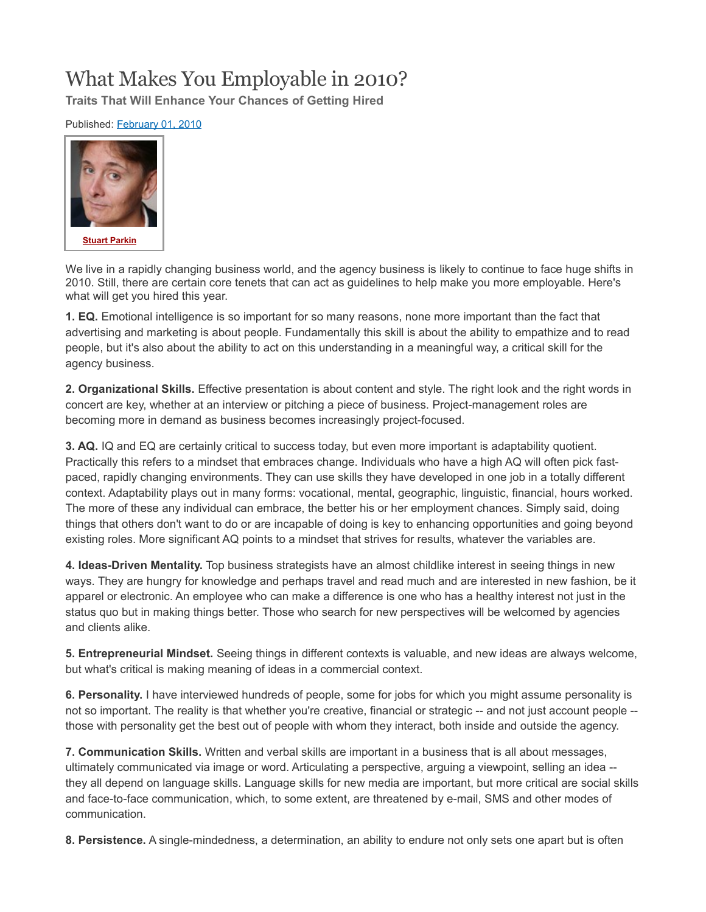## What Makes You Employable in 2010?

**Traits That Will Enhance Your Chances of Getting Hired**

Published: [February 01, 2010](http://adage.com/results?endeca=1&return=endeca&search_offset=0&search_order_by=score&search_phrase=02/01/2010)



We live in a rapidly changing business world, and the agency business is likely to continue to face huge shifts in 2010. Still, there are certain core tenets that can act as guidelines to help make you more employable. Here's what will get you hired this year.

**1. EQ.** Emotional intelligence is so important for so many reasons, none more important than the fact that advertising and marketing is about people. Fundamentally this skill is about the ability to empathize and to read people, but it's also about the ability to act on this understanding in a meaningful way, a critical skill for the agency business.

**2. Organizational Skills.** Effective presentation is about content and style. The right look and the right words in concert are key, whether at an interview or pitching a piece of business. Project-management roles are becoming more in demand as business becomes increasingly project-focused.

**3. AQ.** IQ and EQ are certainly critical to success today, but even more important is adaptability quotient. Practically this refers to a mindset that embraces change. Individuals who have a high AQ will often pick fastpaced, rapidly changing environments. They can use skills they have developed in one job in a totally different context. Adaptability plays out in many forms: vocational, mental, geographic, linguistic, financial, hours worked. The more of these any individual can embrace, the better his or her employment chances. Simply said, doing things that others don't want to do or are incapable of doing is key to enhancing opportunities and going beyond existing roles. More significant AQ points to a mindset that strives for results, whatever the variables are.

**4. Ideas-Driven Mentality.** Top business strategists have an almost childlike interest in seeing things in new ways. They are hungry for knowledge and perhaps travel and read much and are interested in new fashion, be it apparel or electronic. An employee who can make a difference is one who has a healthy interest not just in the status quo but in making things better. Those who search for new perspectives will be welcomed by agencies and clients alike.

**5. Entrepreneurial Mindset.** Seeing things in different contexts is valuable, and new ideas are always welcome, but what's critical is making meaning of ideas in a commercial context.

**6. Personality.** I have interviewed hundreds of people, some for jobs for which you might assume personality is not so important. The reality is that whether you're creative, financial or strategic -- and not just account people -those with personality get the best out of people with whom they interact, both inside and outside the agency.

**7. Communication Skills.** Written and verbal skills are important in a business that is all about messages, ultimately communicated via image or word. Articulating a perspective, arguing a viewpoint, selling an idea - they all depend on language skills. Language skills for new media are important, but more critical are social skills and face-to-face communication, which, to some extent, are threatened by e-mail, SMS and other modes of communication.

**8. Persistence.** A single-mindedness, a determination, an ability to endure not only sets one apart but is often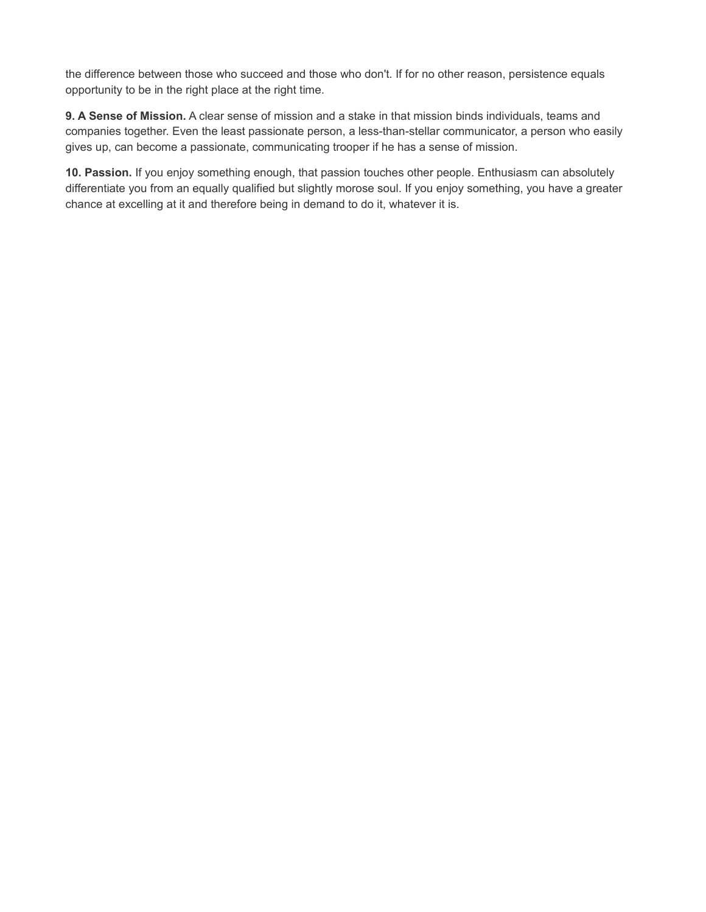the difference between those who succeed and those who don't. If for no other reason, persistence equals opportunity to be in the right place at the right time.

**9. A Sense of Mission.** A clear sense of mission and a stake in that mission binds individuals, teams and companies together. Even the least passionate person, a less-than-stellar communicator, a person who easily gives up, can become a passionate, communicating trooper if he has a sense of mission.

**10. Passion.** If you enjoy something enough, that passion touches other people. Enthusiasm can absolutely differentiate you from an equally qualified but slightly morose soul. If you enjoy something, you have a greater chance at excelling at it and therefore being in demand to do it, whatever it is.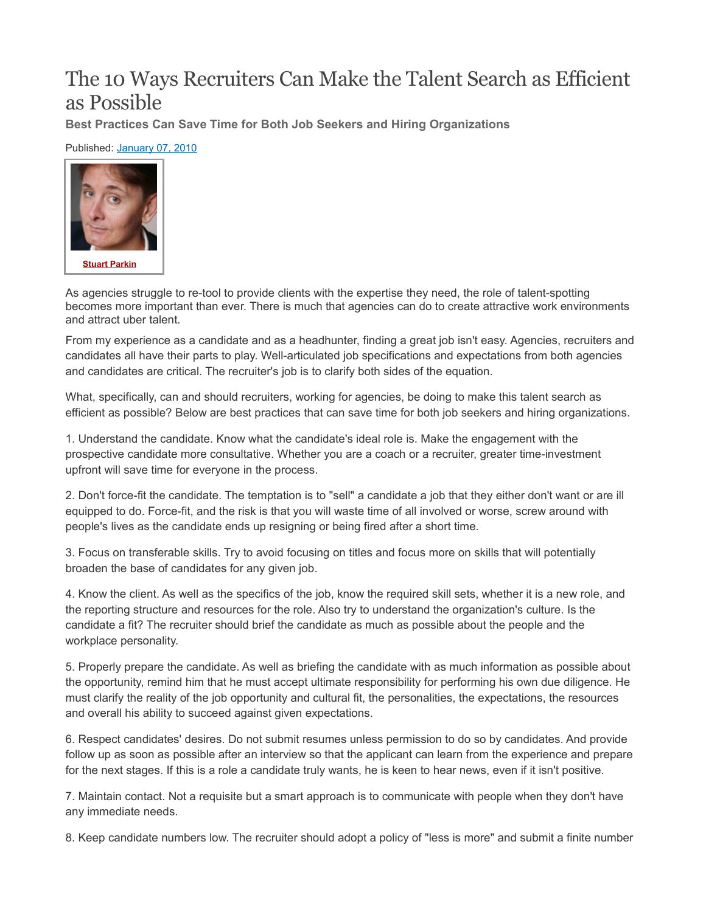### The 10 Ways Recruiters Can Make the Talent Search as Efficient as Possible

**Best Practices Can Save Time for Both Job Seekers and Hiring Organizations**

Published: [January 07, 2010](http://adage.com/results?endeca=1&return=endeca&search_offset=0&search_order_by=score&search_phrase=01/07/2010)



**[Stuart Parkin](http://adage.com/article/talentworks/agency-jobs-recruitment-s-practices/141344/)**

As agencies struggle to re-tool to provide clients with the expertise they need, the role of talent-spotting becomes more important than ever. There is much that agencies can do to create attractive work environments and attract uber talent.

From my experience as a candidate and as a headhunter, finding a great job isn't easy. Agencies, recruiters and candidates all have their parts to play. Well-articulated job specifications and expectations from both agencies and candidates are critical. The recruiter's job is to clarify both sides of the equation.

What, specifically, can and should recruiters, working for agencies, be doing to make this talent search as efficient as possible? Below are best practices that can save time for both job seekers and hiring organizations.

1. Understand the candidate. Know what the candidate's ideal role is. Make the engagement with the prospective candidate more consultative. Whether you are a coach or a recruiter, greater time-investment upfront will save time for everyone in the process.

2. Don't force-fit the candidate. The temptation is to "sell" a candidate a job that they either don't want or are ill equipped to do. Force-fit, and the risk is that you will waste time of all involved or worse, screw around with people's lives as the candidate ends up resigning or being fired after a short time.

3. Focus on transferable skills. Try to avoid focusing on titles and focus more on skills that will potentially broaden the base of candidates for any given job.

4. Know the client. As well as the specifics of the job, know the required skill sets, whether it is a new role, and the reporting structure and resources for the role. Also try to understand the organization's culture. Is the candidate a fit? The recruiter should brief the candidate as much as possible about the people and the workplace personality.

5. Properly prepare the candidate. As well as briefing the candidate with as much information as possible about the opportunity, remind him that he must accept ultimate responsibility for performing his own due diligence. He must clarify the reality of the job opportunity and cultural fit, the personalities, the expectations, the resources and overall his ability to succeed against given expectations.

6. Respect candidates' desires. Do not submit resumes unless permission to do so by candidates. And provide follow up as soon as possible after an interview so that the applicant can learn from the experience and prepare for the next stages. If this is a role a candidate truly wants, he is keen to hear news, even if it isn't positive.

7. Maintain contact. Not a requisite but a smart approach is to communicate with people when they don't have any immediate needs.

8. Keep candidate numbers low. The recruiter should adopt a policy of "less is more" and submit a finite number